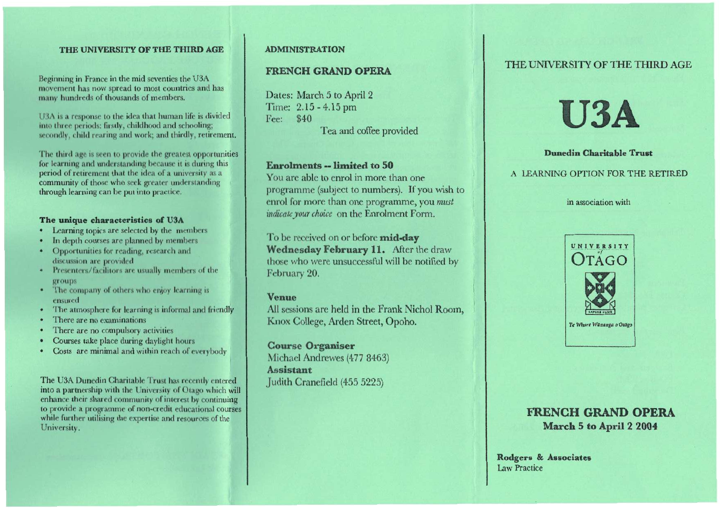#### THE UNIVERSITY OF THE THIRD AGE

Beginning in France in the mid seventies the U3A movement has now spread to most countries **and** has many hundreds of thousands of members.

113A is a response to the idea that human life is divided into three periods: firstly, childhood and schooling; secondly, child rearing and work; and thirdly, retirement.

The third age is seen to provide the greatest opportunities for learning and understanding because it is during this period of retirement that the idea of a university as a community of those who seek greater understanding through learning can be put into practice.

#### **The unique characteristics of U3A**

- Learning topics are selected by the members
- In depth courses are planned by members
- Opportunities for reading, research and discussion are provided
- Presenters/facilitors are usually members of the groups
- The company of others who enjoy learning is ensured
- The atmosphere for learning is informal and friendly
- There are no examinations
- There are no compulsory activities
- Courses take place during daylight hours
- Costs are minimal and within reach of everybody

The USA Dunedin Charitable Trust has recently entered into a partnership with the University of Otago which will enhance their shared community of interest by continuing to provide a programme of non-credit educational courses while further utilising the expertise and resources of the University.

#### ADMINISTRATION

## **FRENCH GRAND OPERA**

Dates: March 5 to April 2 Time: 2.15 - 4.15 pm Fee: \$40 Tea and coffee provided

#### **Enrolments -- limited to 50**

You are able to enrol in more than one programme (subject to numbers). If you wish to enrol for more than one programme, you *must indicate your choice* on the Enrolment Form.

To be received on or before **mid-day Wednesday February 11.** After the draw those who were unsuccessful will be notified by February 20.

#### **Venue**

All sessions are held in the Frank Nichol Room, Knox College, Arden Street, Opoho.

**Course Organiser**  Michael Andrewes (477 8463) **Assistant**  Judith Cranefield (455 5225)

## THE UNIVERSITY OF THE THIRD AGE

# **U3A**

# **Dunedin Charitable Trust**  A LEARNING OPTION FOR THE RETIRED

#### in association with



# **FRENCH GRAND OPERA March 5 to April 2 2004**

**Rodgers & Associates**  Law Practice